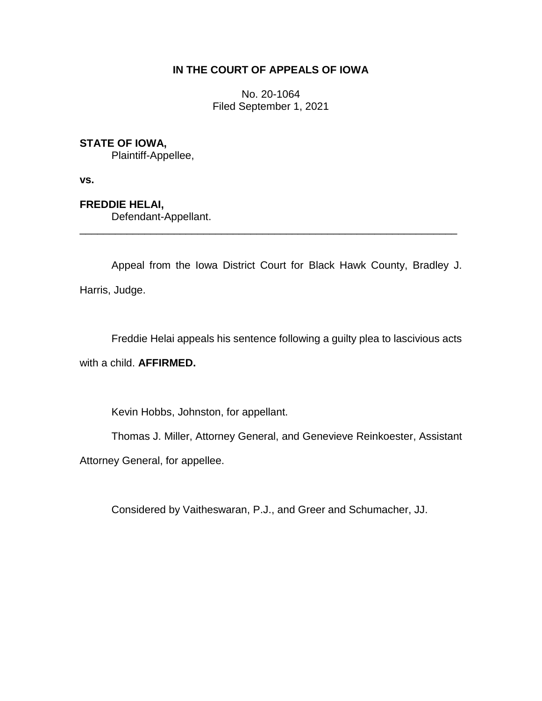# **IN THE COURT OF APPEALS OF IOWA**

No. 20-1064 Filed September 1, 2021

## **STATE OF IOWA,**

Plaintiff-Appellee,

**vs.**

**FREDDIE HELAI,** Defendant-Appellant.

Appeal from the Iowa District Court for Black Hawk County, Bradley J. Harris, Judge.

\_\_\_\_\_\_\_\_\_\_\_\_\_\_\_\_\_\_\_\_\_\_\_\_\_\_\_\_\_\_\_\_\_\_\_\_\_\_\_\_\_\_\_\_\_\_\_\_\_\_\_\_\_\_\_\_\_\_\_\_\_\_\_\_

Freddie Helai appeals his sentence following a guilty plea to lascivious acts

with a child. **AFFIRMED.**

Kevin Hobbs, Johnston, for appellant.

Thomas J. Miller, Attorney General, and Genevieve Reinkoester, Assistant

Attorney General, for appellee.

Considered by Vaitheswaran, P.J., and Greer and Schumacher, JJ.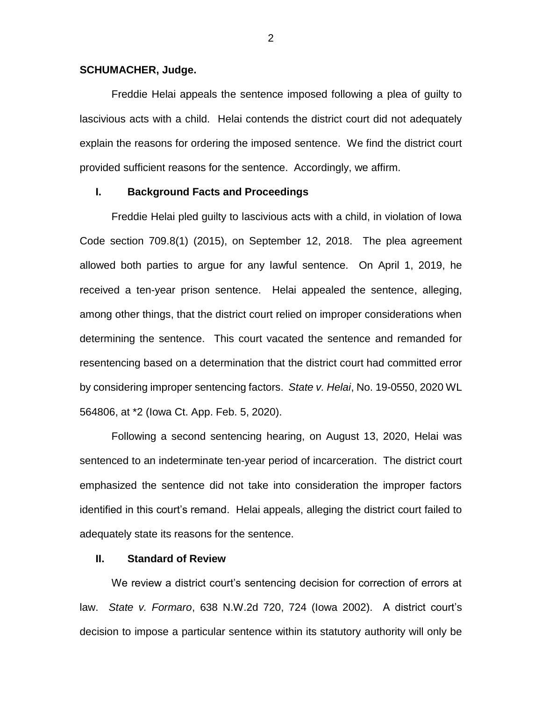### **SCHUMACHER, Judge.**

Freddie Helai appeals the sentence imposed following a plea of guilty to lascivious acts with a child. Helai contends the district court did not adequately explain the reasons for ordering the imposed sentence. We find the district court provided sufficient reasons for the sentence. Accordingly, we affirm.

### **I. Background Facts and Proceedings**

Freddie Helai pled guilty to lascivious acts with a child, in violation of Iowa Code section 709.8(1) (2015), on September 12, 2018. The plea agreement allowed both parties to argue for any lawful sentence. On April 1, 2019, he received a ten-year prison sentence. Helai appealed the sentence, alleging, among other things, that the district court relied on improper considerations when determining the sentence. This court vacated the sentence and remanded for resentencing based on a determination that the district court had committed error by considering improper sentencing factors. *State v. Helai*, No. 19-0550, 2020 WL 564806, at \*2 (Iowa Ct. App. Feb. 5, 2020).

Following a second sentencing hearing, on August 13, 2020, Helai was sentenced to an indeterminate ten-year period of incarceration. The district court emphasized the sentence did not take into consideration the improper factors identified in this court's remand. Helai appeals, alleging the district court failed to adequately state its reasons for the sentence.

### **II. Standard of Review**

We review a district court's sentencing decision for correction of errors at law. *State v. Formaro*, 638 N.W.2d 720, 724 (Iowa 2002). A district court's decision to impose a particular sentence within its statutory authority will only be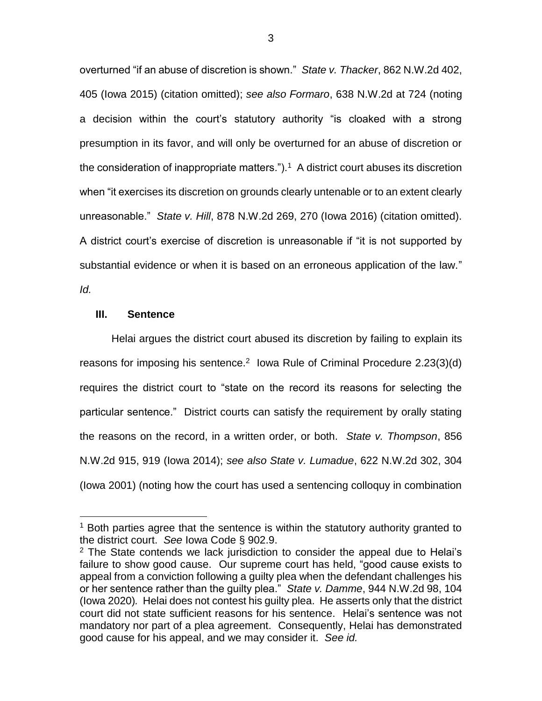overturned "if an abuse of discretion is shown." *State v. Thacker*, 862 N.W.2d 402, 405 (Iowa 2015) (citation omitted); *see also Formaro*, 638 N.W.2d at 724 (noting a decision within the court's statutory authority "is cloaked with a strong presumption in its favor, and will only be overturned for an abuse of discretion or the consideration of inappropriate matters.").<sup>1</sup> A district court abuses its discretion when "it exercises its discretion on grounds clearly untenable or to an extent clearly unreasonable." *State v. Hill*, 878 N.W.2d 269, 270 (Iowa 2016) (citation omitted). A district court's exercise of discretion is unreasonable if "it is not supported by substantial evidence or when it is based on an erroneous application of the law."

*Id.* 

 $\overline{a}$ 

### **III. Sentence**

Helai argues the district court abused its discretion by failing to explain its reasons for imposing his sentence.<sup>2</sup> lowa Rule of Criminal Procedure  $2.23(3)(d)$ requires the district court to "state on the record its reasons for selecting the particular sentence." District courts can satisfy the requirement by orally stating the reasons on the record, in a written order, or both. *State v. Thompson*, 856 N.W.2d 915, 919 (Iowa 2014); *see also State v. Lumadue*, 622 N.W.2d 302, 304 (Iowa 2001) (noting how the court has used a sentencing colloquy in combination

 $1$  Both parties agree that the sentence is within the statutory authority granted to the district court. *See* Iowa Code § 902.9.

 $2$  The State contends we lack jurisdiction to consider the appeal due to Helai's failure to show good cause. Our supreme court has held, "good cause exists to appeal from a conviction following a guilty plea when the defendant challenges his or her sentence rather than the guilty plea." *State v. Damme*, 944 N.W.2d 98, 104 (Iowa 2020)*.* Helai does not contest his guilty plea. He asserts only that the district court did not state sufficient reasons for his sentence. Helai's sentence was not mandatory nor part of a plea agreement. Consequently, Helai has demonstrated good cause for his appeal, and we may consider it. *See id.*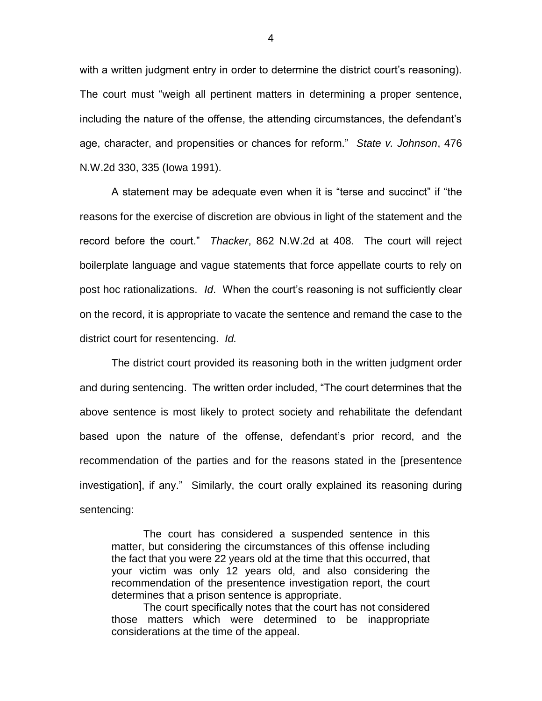with a written judgment entry in order to determine the district court's reasoning). The court must "weigh all pertinent matters in determining a proper sentence, including the nature of the offense, the attending circumstances, the defendant's age, character, and propensities or chances for reform." *State v. Johnson*, 476 N.W.2d 330, 335 (Iowa 1991).

A statement may be adequate even when it is "terse and succinct" if "the reasons for the exercise of discretion are obvious in light of the statement and the record before the court." *Thacker*, 862 N.W.2d at 408. The court will reject boilerplate language and vague statements that force appellate courts to rely on post hoc rationalizations. *Id*. When the court's reasoning is not sufficiently clear on the record, it is appropriate to vacate the sentence and remand the case to the district court for resentencing. *Id.* 

The district court provided its reasoning both in the written judgment order and during sentencing. The written order included, "The court determines that the above sentence is most likely to protect society and rehabilitate the defendant based upon the nature of the offense, defendant's prior record, and the recommendation of the parties and for the reasons stated in the [presentence investigation], if any." Similarly, the court orally explained its reasoning during sentencing:

The court has considered a suspended sentence in this matter, but considering the circumstances of this offense including the fact that you were 22 years old at the time that this occurred, that your victim was only 12 years old, and also considering the recommendation of the presentence investigation report, the court determines that a prison sentence is appropriate.

The court specifically notes that the court has not considered those matters which were determined to be inappropriate considerations at the time of the appeal.